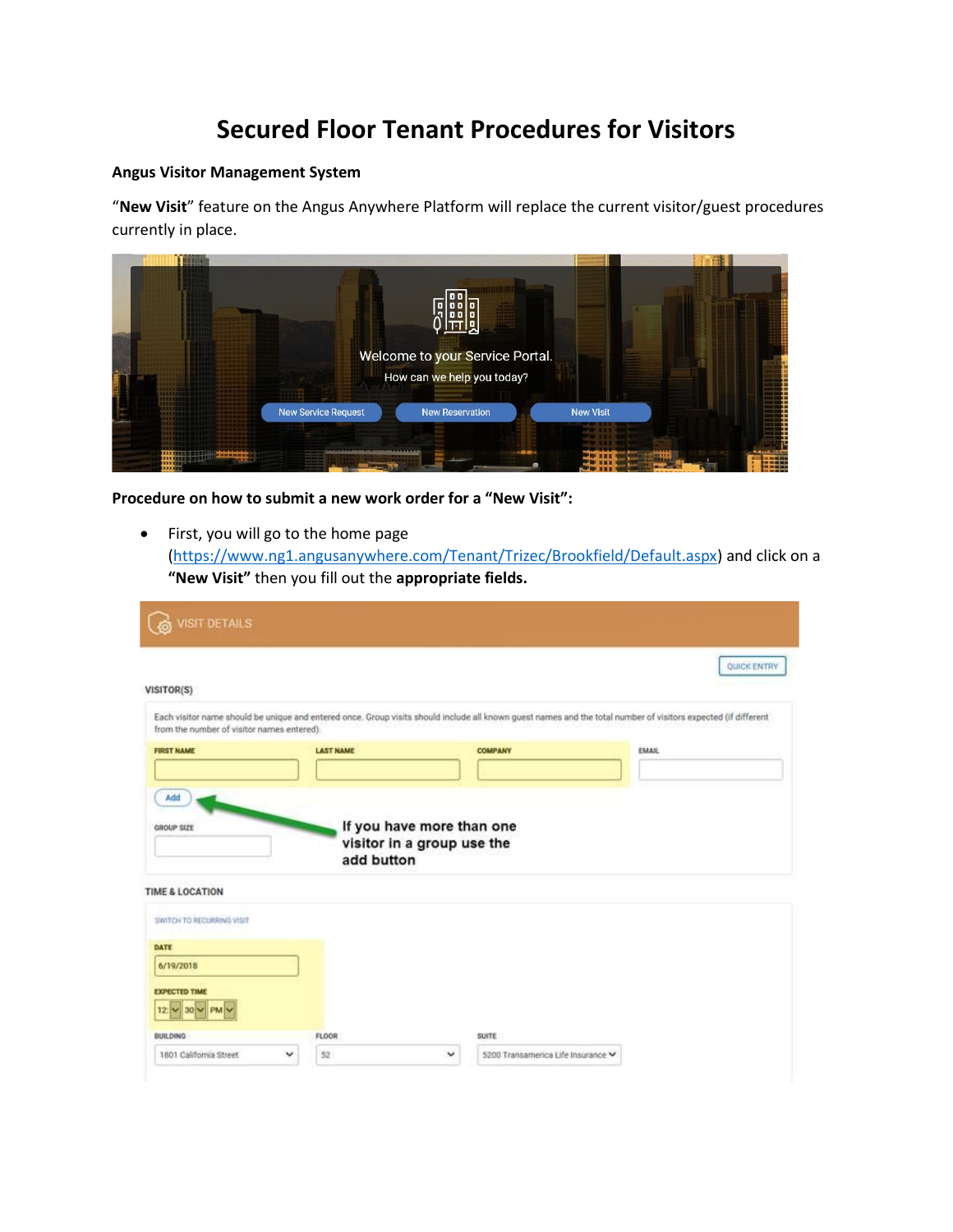## **Secured Floor Tenant Procedures for Visitors**

## **Angus Visitor Management System**

"**New Visit**" feature on the Angus Anywhere Platform will replace the current visitor/guest procedures currently in place.



**Procedure on how to submit a new work order for a "New Visit":**

• First, you will go to the home page [\(https://www.ng1.angusanywhere.com/Tenant/Trizec/Brookfield/Default.aspx\)](https://na01.safelinks.protection.outlook.com/?url=https%3A%2F%2Fwww.ng1.angusanywhere.com%2FTenant%2FTrizec%2FBrookfield%2FDefault.aspx&data=02%7C01%7Ckimberly.udink%40brookfieldproperties.com%7Ca5d3a248f3f448003e3b08d67d819e82%7Cdaf884b0be164f2a8bbbdc6099a56844%7C0%7C0%7C636834392994869263&sdata=XxAV45OvBbCoF1pHoqeQTpGisE4YFdl6tFNo0eyQzz4%3D&reserved=0) and click on a **"New Visit"** then you fill out the **appropriate fields.**

| VISIT DETAILS                                      |                  |                                                         |                                                                                                                                                                | <b>QUICK ENTRY</b> |
|----------------------------------------------------|------------------|---------------------------------------------------------|----------------------------------------------------------------------------------------------------------------------------------------------------------------|--------------------|
| VISITOR(S)                                         |                  |                                                         |                                                                                                                                                                |                    |
| from the number of visitor names entered).         |                  |                                                         | Each visitor name should be unique and entered once. Group visits should include all known guest names and the total number of visitors expected (if different |                    |
| <b>FIRST NAME</b>                                  | <b>LAST NAME</b> |                                                         | <b>COMPANY</b>                                                                                                                                                 | <b>EMAIL</b>       |
|                                                    |                  |                                                         |                                                                                                                                                                |                    |
| GROUP SIZE                                         | add button       | If you have more than one<br>visitor in a group use the |                                                                                                                                                                |                    |
| <b>TIME &amp; LOCATION</b>                         |                  |                                                         |                                                                                                                                                                |                    |
| SWITCH TO RECURRING VISIT                          |                  |                                                         |                                                                                                                                                                |                    |
| DATE                                               |                  |                                                         |                                                                                                                                                                |                    |
| 6/19/2018                                          |                  |                                                         |                                                                                                                                                                |                    |
| <b>EXPECTED TIME</b><br>30 V PM<br>12 <sub>z</sub> |                  |                                                         |                                                                                                                                                                |                    |
| <b>BUILDING</b>                                    | FLOOR            |                                                         | <b>SUITE</b>                                                                                                                                                   |                    |
| 1801 California Street                             | 52<br>v          | $\checkmark$                                            | 5200 Transamerica Life Insurance V                                                                                                                             |                    |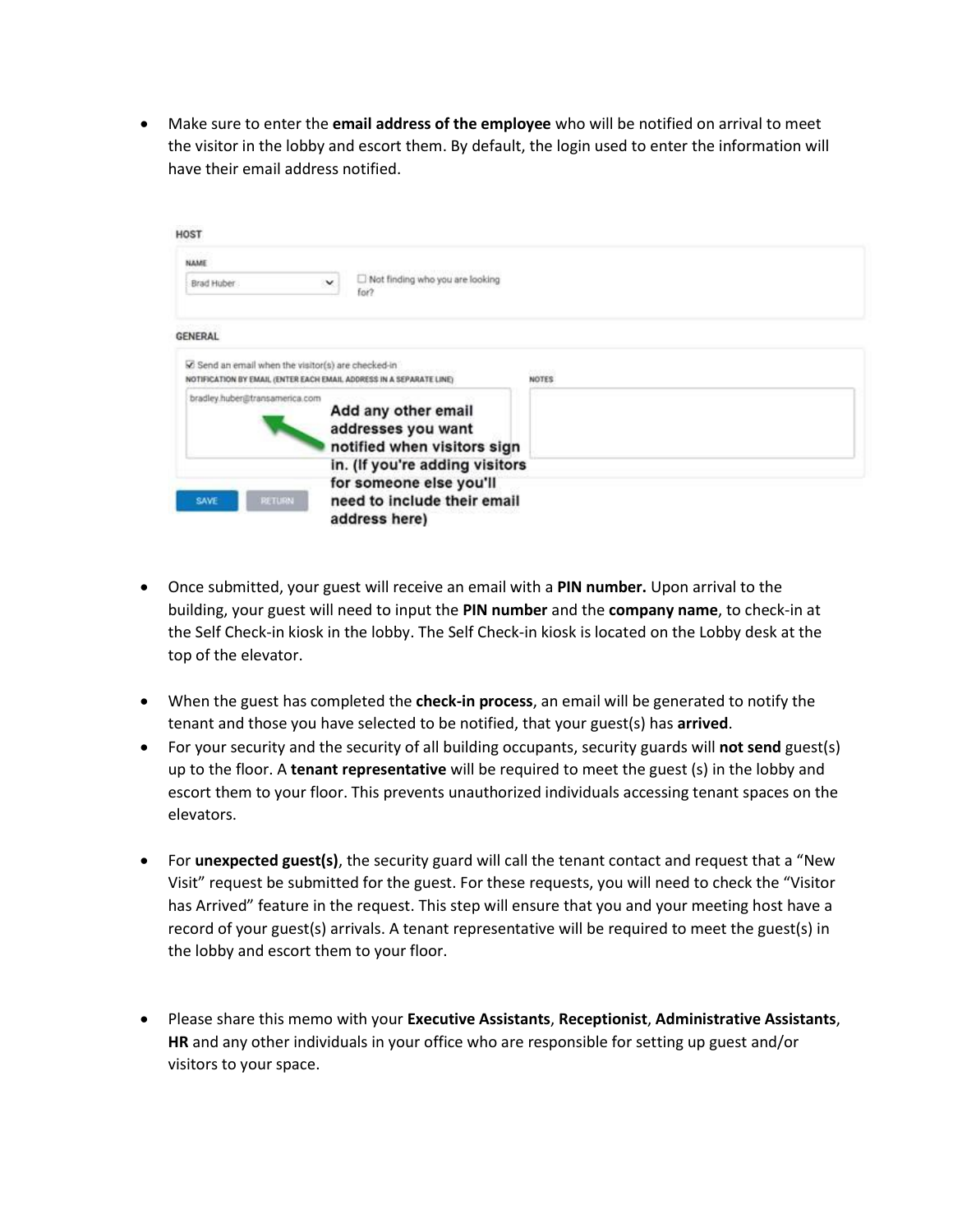• Make sure to enter the **email address of the employee** who will be notified on arrival to meet the visitor in the lobby and escort them. By default, the login used to enter the information will have their email address notified.

| HOST                                                                                                                      |                                                                          |              |  |
|---------------------------------------------------------------------------------------------------------------------------|--------------------------------------------------------------------------|--------------|--|
| NAME<br>Brad Huber                                                                                                        | Not finding who you are looking<br>for?                                  |              |  |
| <b>GENERAL</b>                                                                                                            |                                                                          |              |  |
| C Send an email when the visitor(s) are checked-in<br>NOTIFICATION BY EMAIL (ENTER EACH EMAIL ADDRESS IN A SEPARATE LINE) |                                                                          | <b>NOTES</b> |  |
| bradley.huber@transamerica.com                                                                                            | Add any other email<br>addresses you want<br>notified when visitors sign |              |  |
|                                                                                                                           | in. (If you're adding visitors                                           |              |  |
| <b>RETURN</b><br>SAVE                                                                                                     | for someone else you'll<br>need to include their email<br>address here)  |              |  |

- Once submitted, your guest will receive an email with a **PIN number.** Upon arrival to the building, your guest will need to input the **PIN number** and the **company name**, to check-in at the Self Check-in kiosk in the lobby. The Self Check-in kiosk is located on the Lobby desk at the top of the elevator.
- When the guest has completed the **check-in process**, an email will be generated to notify the tenant and those you have selected to be notified, that your guest(s) has **arrived**.
- For your security and the security of all building occupants, security guards will **not send** guest(s) up to the floor. A **tenant representative** will be required to meet the guest (s) in the lobby and escort them to your floor. This prevents unauthorized individuals accessing tenant spaces on the elevators.
- For **unexpected guest(s)**, the security guard will call the tenant contact and request that a "New Visit" request be submitted for the guest. For these requests, you will need to check the "Visitor has Arrived" feature in the request. This step will ensure that you and your meeting host have a record of your guest(s) arrivals. A tenant representative will be required to meet the guest(s) in the lobby and escort them to your floor.
- Please share this memo with your **Executive Assistants**, **Receptionist**, **Administrative Assistants**, **HR** and any other individuals in your office who are responsible for setting up guest and/or visitors to your space.